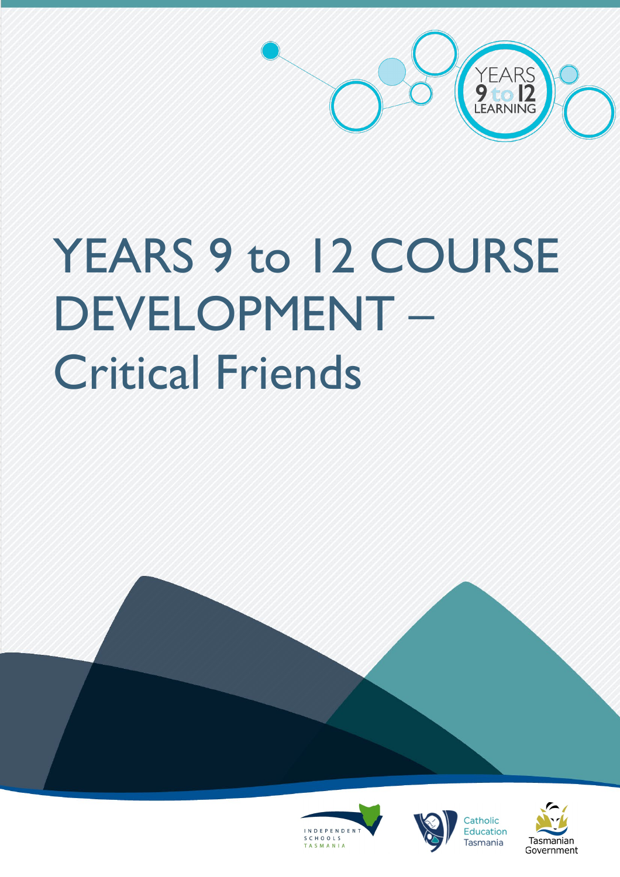

# YEARS 9 to 12 COURSE DEVELOPMENT – Critical Friends







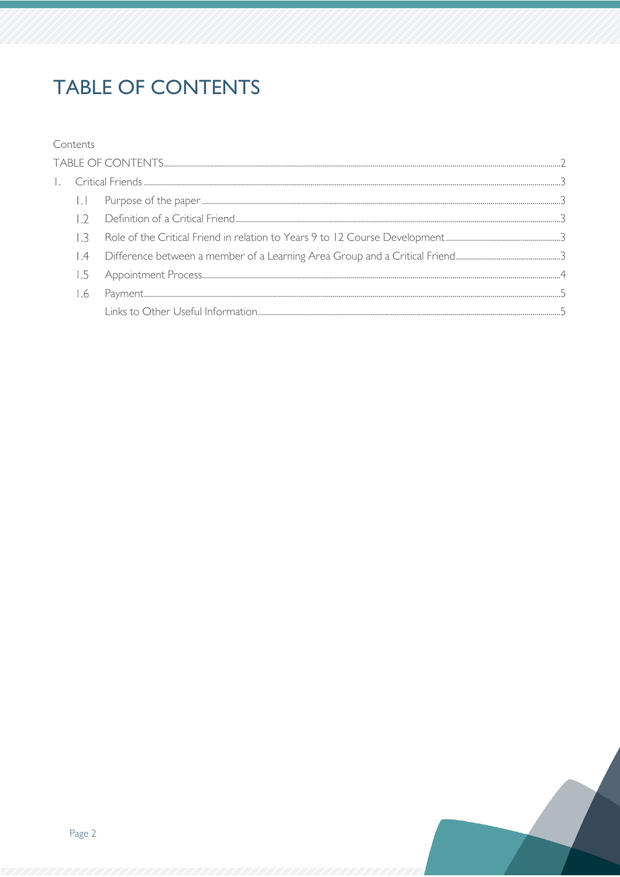# <span id="page-1-0"></span>**TABLE OF CONTENTS**

#### Contents

|  | $\mathbf{L}$   |  |  |  |
|--|----------------|--|--|--|
|  |                |  |  |  |
|  |                |  |  |  |
|  | $\overline{A}$ |  |  |  |
|  | 1.5            |  |  |  |
|  | 1.6            |  |  |  |
|  |                |  |  |  |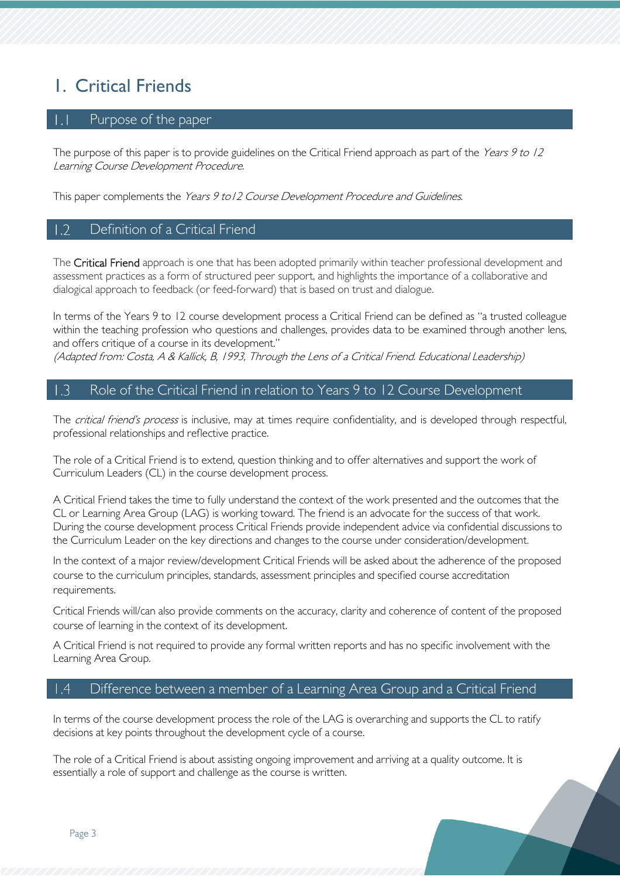# <span id="page-2-0"></span>1. Critical Friends

## <span id="page-2-1"></span>Purpose of the paper

The purpose of this paper is to provide guidelines on the Critical Friend approach as part of the Years 9 to 12 Learning Course Development Procedure.

This paper complements the Years 9 to 12 Course Development Procedure and Guidelines.

## <span id="page-2-2"></span>Definition of a Critical Friend

The Critical Friend approach is one that has been adopted primarily within teacher professional development and assessment practices as a form of structured peer support, and highlights the importance of a collaborative and dialogical approach to feedback (or feed-forward) that is based on trust and dialogue.

In terms of the Years 9 to 12 course development process a Critical Friend can be defined as "a trusted colleague within the teaching profession who questions and challenges, provides data to be examined through another lens, and offers critique of a course in its development."

(Adapted from: Costa, A & Kallick, B, 1993, Through the Lens of a Critical Friend. Educational Leadership)

#### <span id="page-2-3"></span>Role of the Critical Friend in relation to Years 9 to 12 Course Development  $\perp$ .3

The *critical friend's process* is inclusive, may at times require confidentiality, and is developed through respectful, professional relationships and reflective practice.

The role of a Critical Friend is to extend, question thinking and to offer alternatives and support the work of Curriculum Leaders (CL) in the course development process.

A Critical Friend takes the time to fully understand the context of the work presented and the outcomes that the CL or Learning Area Group (LAG) is working toward. The friend is an advocate for the success of that work. During the course development process Critical Friends provide independent advice via confidential discussions to the Curriculum Leader on the key directions and changes to the course under consideration/development.

In the context of a major review/development Critical Friends will be asked about the adherence of the proposed course to the curriculum principles, standards, assessment principles and specified course accreditation requirements.

Critical Friends will/can also provide comments on the accuracy, clarity and coherence of content of the proposed course of learning in the context of its development.

A Critical Friend is not required to provide any formal written reports and has no specific involvement with the Learning Area Group.

#### <span id="page-2-4"></span> $\vert A$ Difference between a member of a Learning Area Group and a Critical Friend

In terms of the course development process the role of the LAG is overarching and supports the CL to ratify decisions at key points throughout the development cycle of a course.

The role of a Critical Friend is about assisting ongoing improvement and arriving at a quality outcome. It is essentially a role of support and challenge as the course is written.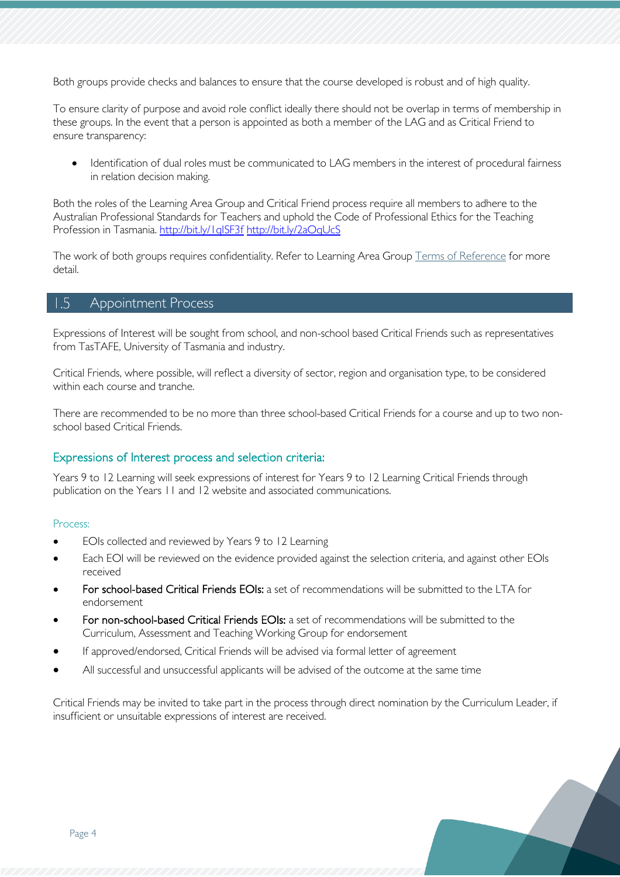Both groups provide checks and balances to ensure that the course developed is robust and of high quality.

To ensure clarity of purpose and avoid role conflict ideally there should not be overlap in terms of membership in these groups. In the event that a person is appointed as both a member of the LAG and as Critical Friend to ensure transparency:

• Identification of dual roles must be communicated to LAG members in the interest of procedural fairness in relation decision making.

Both the roles of the Learning Area Group and Critical Friend process require all members to adhere to the Australian Professional Standards for Teachers and uphold the Code of Professional Ethics for the Teaching Profession in Tasmania. http://bit.ly/1qlSF3f <http://bit.ly/2aOqUcS>

The work of both groups requires confidentiality. Refer to Learning Area Group [Terms of Reference](https://teams.microsoft.com/l/file/1229F80C-851C-46E1-AA98-DC87084EE967?tenantId=a9be3ac7-0c60-491e-8b3b-a32f8f46aec8&fileType=pdf&objectUrl=https%3A%2F%2Ftasedu.sharepoint.com%2Fsites%2FYears9-12LearningLAG-MembershipandTermsofReference%2FShared%20Documents%2FMembership%20and%20Terms%20of%20Reference%2F2019%20Terms%20of%20Reference%2FYears%209-12%20Learning%20Area%20Groups%20Terms%20of%20Reference.pdf&baseUrl=https%3A%2F%2Ftasedu.sharepoint.com%2Fsites%2FYears9-12LearningLAG-MembershipandTermsofReference&serviceName=teams&threadId=19:dcfdb224e1714064a7805d5ac5667ba6@thread.skype&groupId=565fb249-f165-42dc-ac8a-00b0e2a67cdc) for more detail.

#### <span id="page-3-0"></span> $1.5$ Appointment Process

Expressions of Interest will be sought from school, and non-school based Critical Friends such as representatives from TasTAFE, University of Tasmania and industry.

Critical Friends, where possible, will reflect a diversity of sector, region and organisation type, to be considered within each course and tranche.

There are recommended to be no more than three school-based Critical Friends for a course and up to two nonschool based Critical Friends.

#### Expressions of Interest process and selection criteria:

Years 9 to 12 Learning will seek expressions of interest for Years 9 to 12 Learning Critical Friends through publication on the Years 11 and 12 website and associated communications.

#### Process:

- EOIs collected and reviewed by Years 9 to 12 Learning
- Each EOI will be reviewed on the evidence provided against the selection criteria, and against other EOIs received
- For school-based Critical Friends EOIs: a set of recommendations will be submitted to the LTA for endorsement
- For non-school-based Critical Friends EOIs: a set of recommendations will be submitted to the Curriculum, Assessment and Teaching Working Group for endorsement
- If approved/endorsed, Critical Friends will be advised via formal letter of agreement
- All successful and unsuccessful applicants will be advised of the outcome at the same time

Critical Friends may be invited to take part in the process through direct nomination by the Curriculum Leader, if insufficient or unsuitable expressions of interest are received.